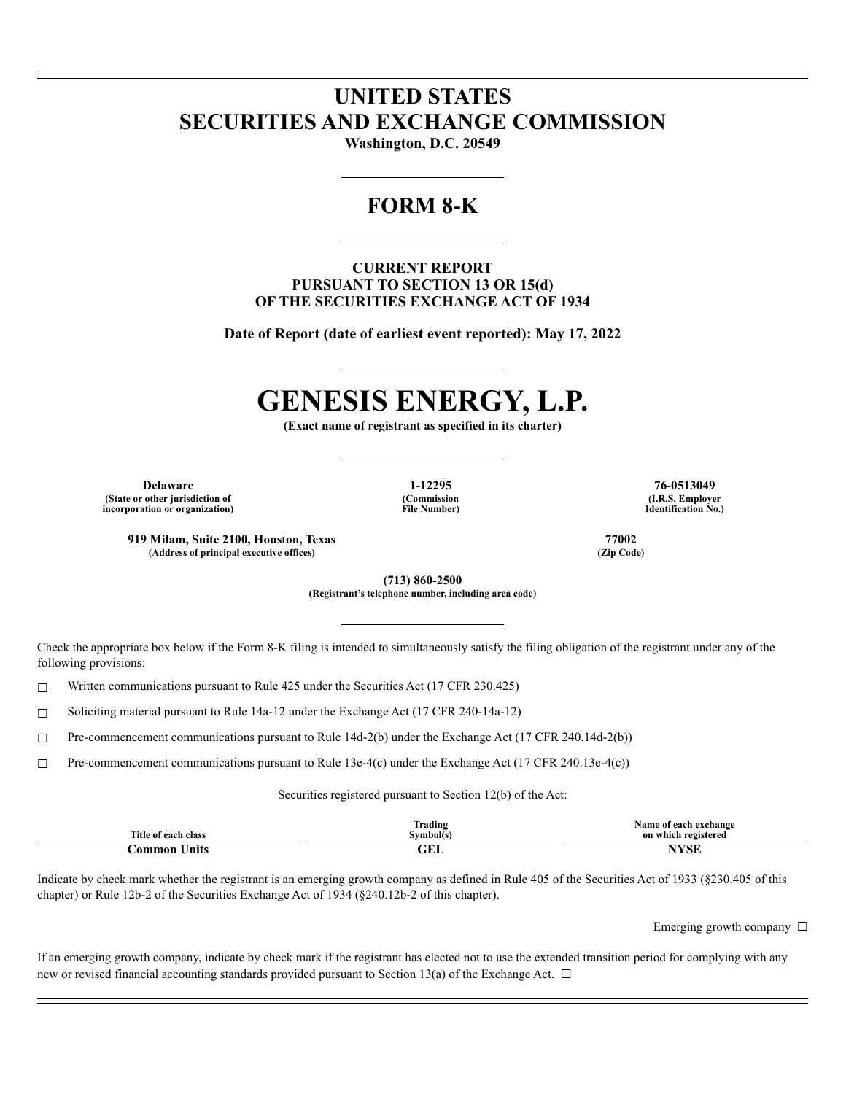## **UNITED STATES SECURITIES AND EXCHANGE COMMISSION**

**Washington, D.C. 20549**

### **FORM 8-K**

**CURRENT REPORT PURSUANT TO SECTION 13 OR 15(d) OF THE SECURITIES EXCHANGE ACT OF 1934**

**Date of Report (date of earliest event reported): May 17, 2022**

# **GENESIS ENERGY, L.P.**

**(Exact name of registrant as specified in its charter)**

**Delaware 1-12295 76-0513049 (State or other jurisdiction of incorporation or organization)**

**(Commission File Number)**

**(I.R.S. Employer Identification No.)**

**919 Milam, Suite 2100, Houston, Texas 77002 (Address of principal executive offices) (Zip Code)**

**(713) 860-2500 (Registrant's telephone number, including area code)**

Check the appropriate box below if the Form 8-K filing is intended to simultaneously satisfy the filing obligation of the registrant under any of the following provisions:

 $\Box$  Written communications pursuant to Rule 425 under the Securities Act (17 CFR 230.425)

☐ Soliciting material pursuant to Rule 14a-12 under the Exchange Act (17 CFR 240-14a-12)

☐ Pre-commencement communications pursuant to Rule 14d-2(b) under the Exchange Act (17 CFR 240.14d-2(b))

☐ Pre-commencement communications pursuant to Rule 13e-4(c) under the Exchange Act (17 CFR 240.13e-4(c))

Securities registered pursuant to Section 12(b) of the Act:

|                                      | $\sim$<br>Frading | Name of each exchange        |
|--------------------------------------|-------------------|------------------------------|
| Title of each class<br>$\sim$ $\sim$ | Symbol(s)         | on which<br>ı registered     |
| ∪nits<br>.ommon                      | <b>ODI</b><br>JLI | <b>TT 7017</b><br>$\sqrt{2}$ |

Indicate by check mark whether the registrant is an emerging growth company as defined in Rule 405 of the Securities Act of 1933 (§230.405 of this chapter) or Rule 12b-2 of the Securities Exchange Act of 1934 (§240.12b-2 of this chapter).

Emerging growth company  $\Box$ 

If an emerging growth company, indicate by check mark if the registrant has elected not to use the extended transition period for complying with any new or revised financial accounting standards provided pursuant to Section 13(a) of the Exchange Act.  $\Box$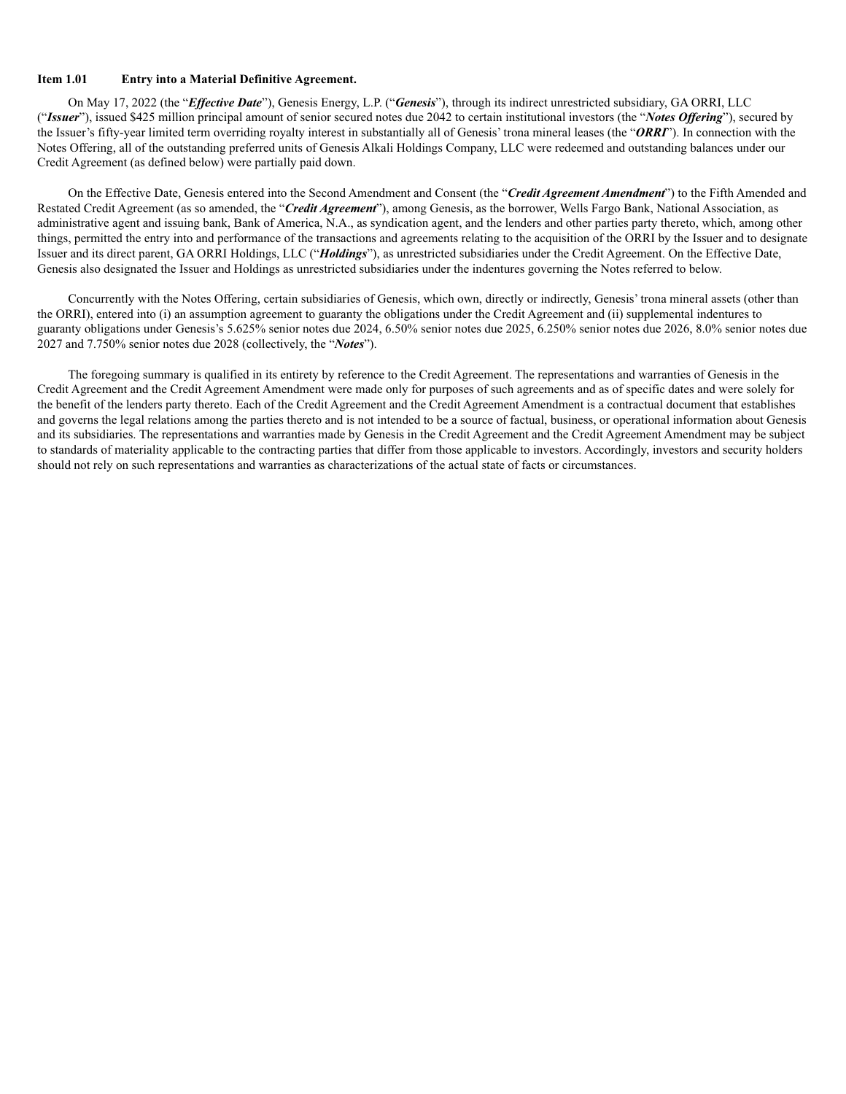#### **Item 1.01 Entry into a Material Definitive Agreement.**

On May 17, 2022 (the "*Effective Date*"), Genesis Energy, L.P. ("*Genesis*"), through its indirect unrestricted subsidiary, GA ORRI, LLC ("*Issuer*"), issued \$425 million principal amount of senior secured notes due 2042 to certain institutional investors (the "*Notes Offering*"), secured by the Issuer's fifty-year limited term overriding royalty interest in substantially all of Genesis' trona mineral leases (the "*ORRI*"). In connection with the Notes Offering, all of the outstanding preferred units of Genesis Alkali Holdings Company, LLC were redeemed and outstanding balances under our Credit Agreement (as defined below) were partially paid down.

On the Effective Date, Genesis entered into the Second Amendment and Consent (the "*Credit Agreement Amendment*") to the Fifth Amended and Restated Credit Agreement (as so amended, the "*Credit Agreement*"), among Genesis, as the borrower, Wells Fargo Bank, National Association, as administrative agent and issuing bank, Bank of America, N.A., as syndication agent, and the lenders and other parties party thereto, which, among other things, permitted the entry into and performance of the transactions and agreements relating to the acquisition of the ORRI by the Issuer and to designate Issuer and its direct parent, GA ORRI Holdings, LLC ("*Holdings*"), as unrestricted subsidiaries under the Credit Agreement. On the Effective Date, Genesis also designated the Issuer and Holdings as unrestricted subsidiaries under the indentures governing the Notes referred to below.

Concurrently with the Notes Offering, certain subsidiaries of Genesis, which own, directly or indirectly, Genesis' trona mineral assets (other than the ORRI), entered into (i) an assumption agreement to guaranty the obligations under the Credit Agreement and (ii) supplemental indentures to guaranty obligations under Genesis's 5.625% senior notes due 2024, 6.50% senior notes due 2025, 6.250% senior notes due 2026, 8.0% senior notes due 2027 and 7.750% senior notes due 2028 (collectively, the "*Notes*").

The foregoing summary is qualified in its entirety by reference to the Credit Agreement. The representations and warranties of Genesis in the Credit Agreement and the Credit Agreement Amendment were made only for purposes of such agreements and as of specific dates and were solely for the benefit of the lenders party thereto. Each of the Credit Agreement and the Credit Agreement Amendment is a contractual document that establishes and governs the legal relations among the parties thereto and is not intended to be a source of factual, business, or operational information about Genesis and its subsidiaries. The representations and warranties made by Genesis in the Credit Agreement and the Credit Agreement Amendment may be subject to standards of materiality applicable to the contracting parties that differ from those applicable to investors. Accordingly, investors and security holders should not rely on such representations and warranties as characterizations of the actual state of facts or circumstances.